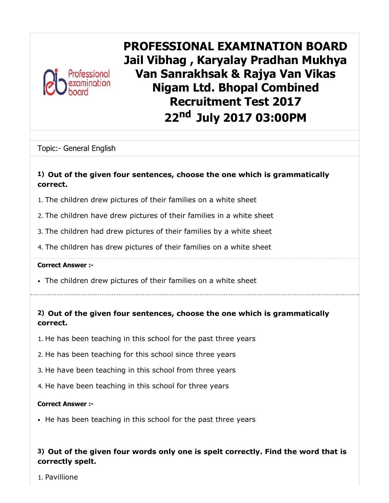

PROFESSIONAL EXAMINATION BOARD Jail Vibhag , Karyalay Pradhan Mukhya Van Sanrakhsak & Rajya Van Vikas Nigam Ltd. Bhopal Combined Recruitment Test 2017 22<sup>nd</sup> July 2017 03:00PM

Topic:- General English

#### 1) Out of the given four sentences, choose the one which is grammatically correct.

- 1. The children drew pictures of their families on a white sheet
- 2. The children have drew pictures of their families in a white sheet
- 3. The children had drew pictures of their families by a white sheet
- 4. The children has drew pictures of their families on a white sheet

#### Correct Answer :-

- The children drew pictures of their families on a white sheet
- 2) Out of the given four sentences, choose the one which is grammatically correct.
- 1. He has been teaching in this school for the past three years
- 2. He has been teaching for this school since three years
- 3. He have been teaching in this school from three years
- 4. He have been teaching in this school for three years

#### Correct Answer :-

• He has been teaching in this school for the past three years

## 3) Out of the given four words only one is spelt correctly. Find the word that is correctly spelt.

1. Pavillione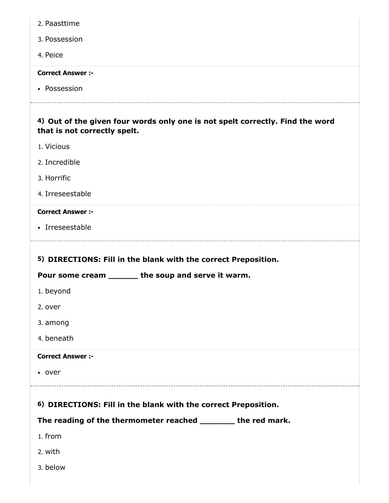| 2. Paasttime                                                                                                  |
|---------------------------------------------------------------------------------------------------------------|
| 3. Possession                                                                                                 |
| 4. Peice                                                                                                      |
| <b>Correct Answer :-</b>                                                                                      |
| • Possession                                                                                                  |
| 4) Out of the given four words only one is not spelt correctly. Find the word<br>that is not correctly spelt. |
| 1. Vicious                                                                                                    |
| 2. Incredible                                                                                                 |
| 3. Horrific                                                                                                   |
| 4. Irreseestable                                                                                              |
| <b>Correct Answer :-</b>                                                                                      |
| • Irreseestable                                                                                               |
|                                                                                                               |
| 5) DIRECTIONS: Fill in the blank with the correct Preposition.                                                |
| Pour some cream _______ the soup and serve it warm.                                                           |
| 1. beyond                                                                                                     |
| 2. over                                                                                                       |
| 3. among<br>4. beneath                                                                                        |
| <b>Correct Answer :-</b>                                                                                      |
| • over                                                                                                        |
| 6) DIRECTIONS: Fill in the blank with the correct Preposition.                                                |
| The reading of the thermometer reached ________ the red mark.                                                 |
| 1. from                                                                                                       |
| 2. with                                                                                                       |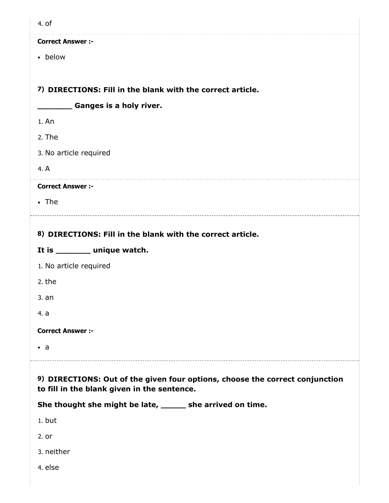| 4. of                                                                                                                       |
|-----------------------------------------------------------------------------------------------------------------------------|
| <b>Correct Answer :-</b>                                                                                                    |
| • below                                                                                                                     |
| 7) DIRECTIONS: Fill in the blank with the correct article.                                                                  |
| <b>Example 5 Ganges is a holy river.</b>                                                                                    |
| 1. An                                                                                                                       |
| 2. The                                                                                                                      |
| 3. No article required                                                                                                      |
| 4. A                                                                                                                        |
| <b>Correct Answer :-</b>                                                                                                    |
| $\cdot$ The                                                                                                                 |
| 8) DIRECTIONS: Fill in the blank with the correct article.                                                                  |
|                                                                                                                             |
|                                                                                                                             |
| It is _______ unique watch.                                                                                                 |
| 1. No article required<br>2. the                                                                                            |
| 3. an                                                                                                                       |
| 4. a                                                                                                                        |
| <b>Correct Answer :-</b>                                                                                                    |
| $\bullet$ a                                                                                                                 |
|                                                                                                                             |
| 9) DIRECTIONS: Out of the given four options, choose the correct conjunction<br>to fill in the blank given in the sentence. |
| She thought she might be late, ______ she arrived on time.                                                                  |

--------------

2. or

3. neither

4. else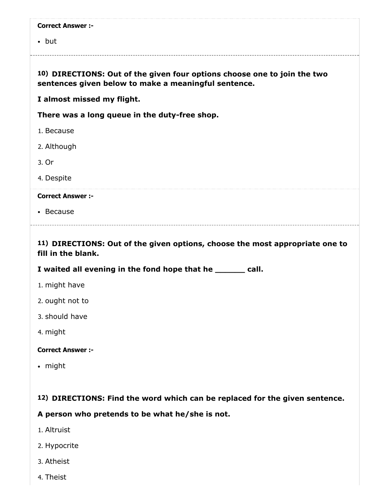|  | <b>Correct Answer :-</b> |  |
|--|--------------------------|--|
|--|--------------------------|--|

• but

## 10) DIRECTIONS: Out of the given four options choose one to join the two sentences given below to make a meaningful sentence.

I almost missed my flight.

There was a long queue in the duty-free shop.

- 1. Because
- 2. Although
- 3. Or
- 4. Despite

#### Correct Answer :-

Because

## 11) DIRECTIONS: Out of the given options, choose the most appropriate one to fill in the blank.

I waited all evening in the fond hope that he \_\_\_\_\_\_ call.

- 1. might have
- 2. ought not to
- 3. should have
- 4. might

#### Correct Answer :-

• might

#### 12) DIRECTIONS: Find the word which can be replaced for the given sentence.

A person who pretends to be what he/she is not.

- 1. Altruist
- 2. Hypocrite
- 3. Atheist
- 4. Theist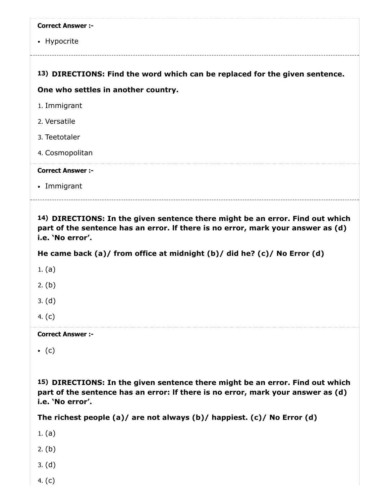| <b>Correct Answer :-</b> |  |  |
|--------------------------|--|--|
|--------------------------|--|--|

• Hypocrite

### 13) DIRECTIONS: Find the word which can be replaced for the given sentence.

#### One who settles in another country.

- 1. Immigrant
- 2. Versatile
- 3. Teetotaler
- 4. Cosmopolitan

Correct Answer :-

Immigrant

14) DIRECTIONS: In the given sentence there might be an error. Find out which part of the sentence has an error. lf there is no error, mark your answer as (d) i.e. 'No error'.

He came back (a)/ from office at midnight (b)/ did he? (c)/ No Error (d)

1. (a)

2. (b)

3. (d)

4. (c)

Correct Answer :-

 $\bullet$  (c)

15) DIRECTIONS: In the given sentence there might be an error. Find out which part of the sentence has an error: lf there is no error, mark your answer as (d) i.e. 'No error'.

The richest people (a)/ are not always (b)/ happiest. (c)/ No Error (d)

1. (a)

2. (b)

- 3. (d)
- 4. (c)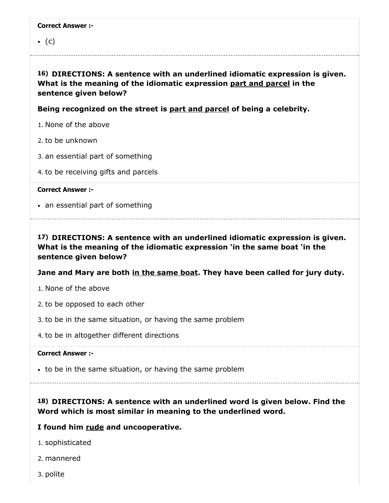$\bullet$  (c)

16) DIRECTIONS: A sentence with an underlined idiomatic expression is given. What is the meaning of the idiomatic expression part and parcel in the sentence given below?

Being recognized on the street is part and parcel of being a celebrity.

- 1. None of the above
- 2. to be unknown
- 3. an essential part of something
- 4. to be receiving gifts and parcels

Correct Answer :-

• an essential part of something

17) DIRECTIONS: A sentence with an underlined idiomatic expression is given. What is the meaning of the idiomatic expression 'in the same boat 'in the sentence given below?

#### Jane and Mary are both in the same boat. They have been called for jury duty.

- 1. None of the above
- 2. to be opposed to each other
- 3. to be in the same situation, or having the same problem
- 4. to be in altogether different directions

#### Correct Answer :-

- to be in the same situation, or having the same problem
- 

# 18) DIRECTIONS: A sentence with an underlined word is given below. Find the Word which is most similar in meaning to the underlined word.

#### I found him rude and uncooperative.

- 1. sophisticated
- 2. mannered
- 3. polite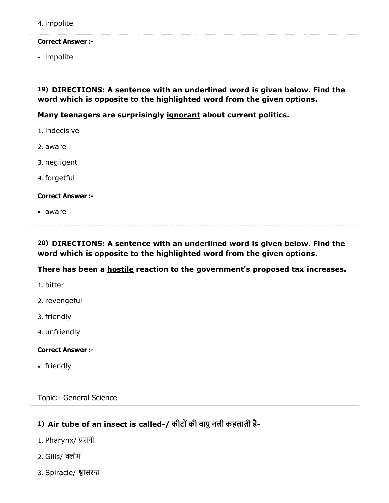4. impolite

#### Correct Answer :-

• impolite

19) DIRECTIONS: A sentence with an underlined word is given below. Find the word which is opposite to the highlighted word from the given options.

Many teenagers are surprisingly ignorant about current politics.

- 1. indecisive
- 2. aware
- 3. negligent
- 4. forgetful

#### Correct Answer :-

aware

20) DIRECTIONS: A sentence with an underlined word is given below. Find the word which is opposite to the highlighted word from the given options.

There has been a **hostile** reaction to the government's proposed tax increases.

- 1. bitter
- 2. revengeful
- 3. friendly
- 4. unfriendly

Correct Answer :-

• friendly

Topic:- General Science

# 1) Air tube of an insect is called-/ कीटोंकी वायुनली कहलाती है-

- 1. Pharynx/ सनी
- 2. Gills/ क्लोम
- 3. Spiracle/ श्वासरन्ध्र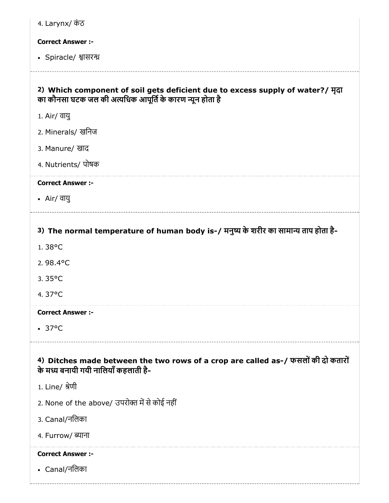| 4. Larynx/ कंठ                                                                                                                             |
|--------------------------------------------------------------------------------------------------------------------------------------------|
| <b>Correct Answer :-</b>                                                                                                                   |
| • Spiracle/ श्वासरन्ध्र                                                                                                                    |
| 2) Which component of soil gets deficient due to excess supply of water?/ मृदा<br>का कौनसा घटक जल की अत्यधिक आपूर्ति के कारण न्यून होता है |
| 1. Air/ वायु                                                                                                                               |
| 2. Minerals/ खनिज                                                                                                                          |
| 3. Manure/ खाद                                                                                                                             |
| 4. Nutrients/ पोषक                                                                                                                         |
| <b>Correct Answer :-</b>                                                                                                                   |
| • Air/ वायु                                                                                                                                |
|                                                                                                                                            |
| 3) The normal temperature of human body is-/ मनुष्य के शरीर का सामान्य ताप होता है-                                                        |
| 1.38°C                                                                                                                                     |
| 2.98.4°C                                                                                                                                   |
| 3.35°C                                                                                                                                     |
| 4.37°C                                                                                                                                     |
| <b>Correct Answer :-</b>                                                                                                                   |
| $\cdot$ 37°C                                                                                                                               |
| 4) Ditches made between the two rows of a crop are called as-/ फसलों की दो कतारों<br>के मध्य बनायी गयी नालियाँ कहलाती है-                  |
| 1. Line/ श्रेणी                                                                                                                            |
| 2. None of the above/ उपरोक्त में से कोई नहीं                                                                                              |
| 3. Canal/नलिका                                                                                                                             |
| 4. Furrow/ ब्याना                                                                                                                          |
| <b>Correct Answer :-</b>                                                                                                                   |
| • Canal/नलिका                                                                                                                              |
|                                                                                                                                            |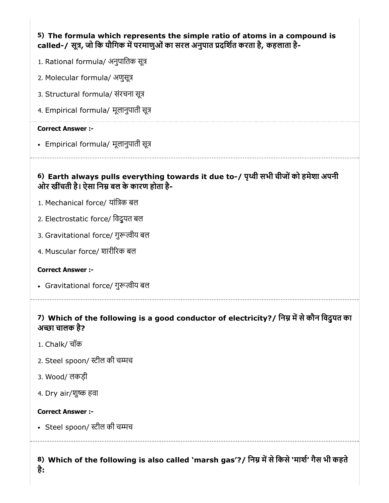# 5) The formula which represents the simple ratio of atoms in a compound is called-/ सूत्र, जो कि यौगिक में परमाणुओं का सरल अनुपात प्रदर्शित करता है, कहलाता है-

- 1. Rational formula/ अनुपातिक सूत्र
- 2. Molecular formula/ अणुसू
- 3. Structural formula/ संरचना सू
- 4. Empirical formula/ मूलानुपाती सू

#### Correct Answer :-

Empirical formula/ मूलानुपाती सू

# 6) Earth always pulls everything towards it due to-/ पृथ्वी सभी चीजों को हमेशा अपनी ओर खींचती है। ऐसा निम्न बल के कारण होता है-

- 1. Mechanical force/ यांिक बल
- 2. Electrostatic force/ िवद्ुयत बल
- 3. Gravitational force/ गुरूत्वीय बल
- 4. Muscular force/ शारीरक बल

#### Correct Answer :-

- Gravitational force/ गुरूत्वीय बल
- 

## 7) Which of the following is a good conductor of electricity?/ निम्न में से कौन विदुयत का अच्छा चालक है?

- 1. Chalk/ चॉक
- 2. Steel spoon/ स्टील की चम्मच
- 3. Wood/ लकड़ी
- 4. Dry air/शुष्क हवा

#### Correct Answer :-

• Steel spoon/ स्टील की चम्मच

# 8) Which of the following is also called `marsh gas'?/ निम्न में से किसे `माशे' गैस भी कहते है: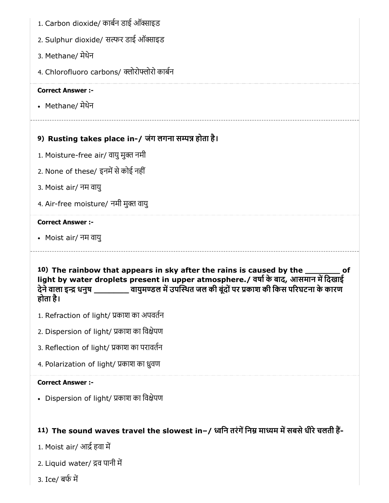- 1. Carbon dioxide/ कार्बन डाई ऑक्साइड
- 2. Sulphur dioxide/ सल्फर डाई ऑक्साइड
- 3. Methane/ मेथेन
- 4. Chlorofluoro carbons/ क्लोरोफ्लोरो कार्बन

• Methane/ मेथेन

# 9) Rusting takes place in-/ जंग लगना सम्पन्न होता है।

- 1. Moisture-free air/ वायु मुक्त नमी
- 2. None of these/ इनमें से कोई नहीं
- 3. Moist air/ नम वायु
- 4. Air-free moisture/ नमी मुक्त वायु

#### Correct Answer :-

Moist air/ नम वायु

10) The rainbow that appears in sky after the rains is caused by the \_\_\_\_\_\_\_ of light by water droplets present in upper atmosphere./ वर्षा के बाद, आसमान में दिखाई देने वाला इन्द्र धनुष खायुमण्डल में उपस्थित जल की बूंदों पर प्रकाश की किस परिघटना के कारण होता है।

- 1. Refraction of light/ काश का अपवतन
- 2. Dispersion of light/ काश का िवेपण
- 3. Reflection of light/ प्रकाश का परावर्तन
- 4. Polarization of light/ प्रकाश का ध्रुवण

#### Correct Answer :-

• Dispersion of light/ प्रकाश का विक्षेपण

# 11) The sound waves travel the slowest in–/ ध्वनि तरंगें निम्न माध्यम में सबसे धीरे चलती हैं-

- 1. Moist air/ आर्द्र हवा में
- 2. Liquid water/ द्रव पानी में
- 3. Ice/ बफ म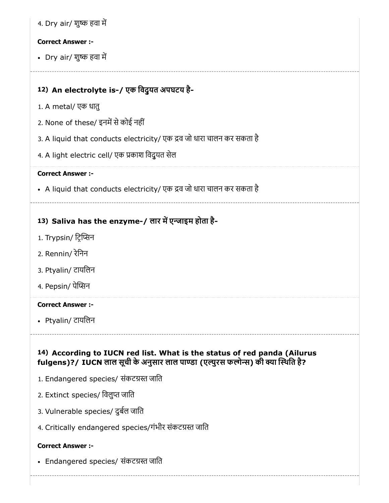|  |  | 4. Dry air/ शुष्क हवा में |
|--|--|---------------------------|
|  |  |                           |

• Dry air/ शुष्क हवा में

# 12) An electrolyte is-/ एक िवद्ुयत अपघटय है-

- 1. A metal/ एक धातु
- 2. None of these/ इनमें से कोई नहीं
- 3. A liquid that conducts electricity/ एक द्रव जो धारा चालन कर सकता है
- 4. A light electric cell/ एक काश िवद्ुयत सेल

#### Correct Answer :-

• A liquid that conducts electricity/ एक द्रव जो धारा चालन कर सकता है

# 13) Saliva has the enzyme-/ लार में एन्जाइम होता है-

- 1. Trypsin/ ट्रिप्सिन
- 2. Rennin/ रेिनन
- 3. Ptyalin/ टायिलन
- 4. Pepsin/ पेप्सिन

#### Correct Answer :-

Ptyalin/ टायिलन

# 14) According to IUCN red list. What is the status of red panda (Ailurus fulgens)?/ IUCN लाल सूची के अनुसार लाल पाण्डा (एल्युरस फलोन्स) की क्या स्थिति है?

- 1. Endangered species/ संकटग्रस्त जाति
- 2. Extinct species/ विलुप्त जाति
- 3. Vulnerable species/ दुबल जाित
- 4. Critically endangered species/गंभीर संकटग्रस्त जाति

#### Correct Answer :-

• Endangered species/ संकटग्रस्त जाति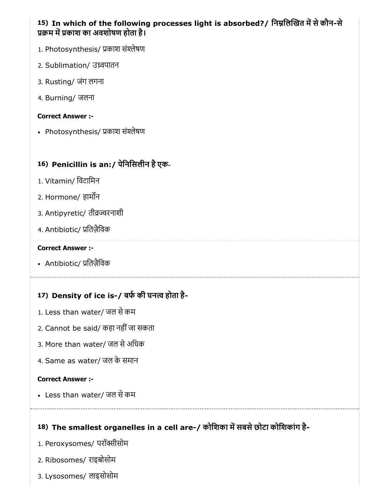# 15) In which of the following processes light is absorbed?/ निम्नलिखित में से कौन-से प्रक्रम में प्रकाश का अवशोषण होता है।

- 1. Photosynthesis/ प्रकाश संश्लेषण
- 2. Sublimation/ उवपातन
- 3. Rusting/ जंग लगना
- 4. Burning/ जलना

#### Correct Answer :-

• Photosynthesis/ प्रकाश संश्लेषण

# 16) Penicillin is an:/ पेिनिसलीन हैएक-

- 1. Vitamin/ िवटािमन
- 2. Hormone/ हामन
- 3. Antipyretic/ तीव्रज्वरनाशी
- 4. Antibiotic/ ितज़ैिवक

#### Correct Answer :-

• Antibiotic/ प्रतिजैविक

# 17) Density of ice is-/ बफ की घन होता है-

- 1. Less than water/ जल सेकम
- 2. Cannot be said/ कहा नहींजा सकता
- 3. More than water/ जल सेअिधक
- 4. Same as water/ जल के समान

#### Correct Answer :-

Less than water/ जल सेकम

# 18) The smallest organelles in a cell are-/ कोशिका में सबसे छोटा कोशिकांग है-

- 1. Peroxysomes/ परॉक्सीसोम
- 2. Ribosomes/ राइबोसोम
- 3. Lysosomes/ लाइसोसोम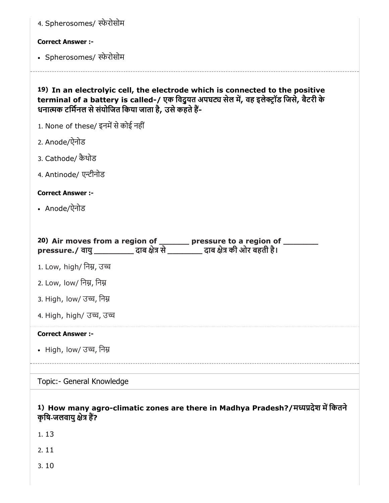| 4. Spherosomes/ स्फेरोसोम                                                                                                                                                                                                          |
|------------------------------------------------------------------------------------------------------------------------------------------------------------------------------------------------------------------------------------|
| <b>Correct Answer :-</b>                                                                                                                                                                                                           |
| • Spherosomes/ स्फेरोसोम                                                                                                                                                                                                           |
| 19) In an electrolyic cell, the electrode which is connected to the positive<br>terminal of a battery is called-/ एक विदुयत अपघट्य सेल में, वह इलेक्ट्रॉड जिसे, बैटरी के<br>धनात्मक टर्मिनल से संयोजित किया जाता है, उसे कहते हैं- |
| 1. None of these/ इनमें से कोई नहीं                                                                                                                                                                                                |
| 2. Anode/ऐनोड                                                                                                                                                                                                                      |
| 3. Cathode/ कैथोड                                                                                                                                                                                                                  |
| 4. Antinode/ एन्टीनोड                                                                                                                                                                                                              |
| <b>Correct Answer :-</b>                                                                                                                                                                                                           |
| • Anode/ऐनोड                                                                                                                                                                                                                       |
|                                                                                                                                                                                                                                    |
| 20) Air moves from a region of ________ pressure to a region of _________<br>pressure./ वायु ___________ दाब क्षेत्र से _________ दाब क्षेत्र की ओर बहती है।                                                                       |
| 1. Low, high/ निम्न, उच्च                                                                                                                                                                                                          |
| 2. Low, low/ निम्न, निम्न                                                                                                                                                                                                          |
| 3. High, low/ उच्च, निम्न                                                                                                                                                                                                          |
| 4. High, high/ उच्च, उच्च                                                                                                                                                                                                          |
| <b>Correct Answer:-</b>                                                                                                                                                                                                            |
| • High, low/ उच्च, निम्न                                                                                                                                                                                                           |
|                                                                                                                                                                                                                                    |
| Topic:- General Knowledge                                                                                                                                                                                                          |
|                                                                                                                                                                                                                                    |

# 1) How many agro-climatic zones are there in Madhya Pradesh?/मदेश मिकतने कृषि-जलवायु क्षेत्र हैं?

1. 13

2. 11

3. 10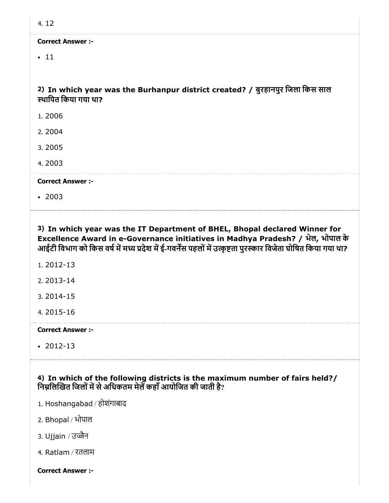$• 11$ 

2) In which year was the Burhanpur district created? / बुरहानपुर िजला िकस साल थािपत िकया गया था?

- 1. 2006
- 2. 2004
- 3. 2005
- 4. 2003

Correct Answer :-

• 2003

3) In which year was the IT Department of BHEL, Bhopal declared Winner for Excellence Award in e-Governance initiatives in Madhya Pradesh? / भेल, भोपाल के आईटी विभाग को किस वर्ष में मध्य प्रदेश में ई-गवर्नेंस पहलों में उत्कृष्टता पुरस्कार विजेता घोषित किया गया था?

- 1. 2012-13
- 2. 2013-14
- 3. 2014-15
- 4. 2015-16

Correct Answer :-

2012-13

4) In which of the following districts is the maximum number of fairs held?/ निम्नलिखित जिलों में से अधिकतम मेलें कहाँ आयोजित की जाती है?

- 1. Hoshangabad / होशंगाबाद
- 2. Bhopal / भोपाल
- 3. Ujjain / उज्जैन
- 4. Ratlam / रतलाम

Correct Answer :-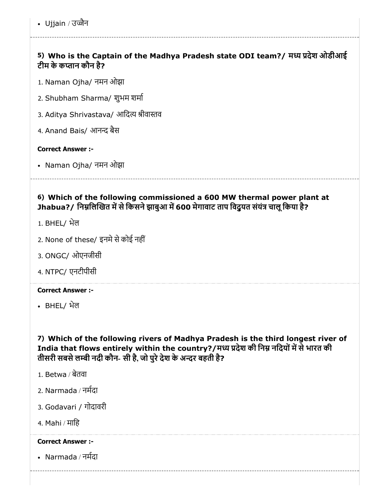• Ujjain / उज्जैन

# 5) Who is the Captain of the Madhya Pradesh state ODI team?/ मध्य प्रदेश ओडीआई टीम के कान कौन है?

- 1. Naman Ojha/ नमन ओझा
- 2. Shubham Sharma/ शुभम शमा
- 3. Aditya Shrivastava/ आदित्य श्रीवास्तव
- 4. Anand Bais/ आनन्द बैस

#### Correct Answer :-

Naman Ojha/ नमन ओझा

# 6) Which of the following commissioned a 600 MW thermal power plant at Jhabua?/ निम्नलिखित में से किसने झाबुआ में 600 मेगावाट ताप विद्यत संयंत्र चालू किया है?

- 1. BHEL/ भेल
- 2. None of these/ इनमे से कोई नहीं
- 3. ONGC/ ओएनजीसी
- 4. NTPC/ एनटीपीसी

#### Correct Answer :-

BHEL/ भेल

7) Which of the following rivers of Madhya Pradesh is the third longest river of India that flows entirely within the country?/मध्य प्रदेश की निम्न नदियों में से भारत की तीसरी सबसे लम्बी नदी कौन- सी है, जो पुरे देश के अन्दर बहती है?

- 1. Betwa / बेतवा
- 2. Narmada / नमदा
- 3. Godavari / गोदावरी
- 4. Mahi / मािह

#### Correct Answer :-

Narmada / नमदा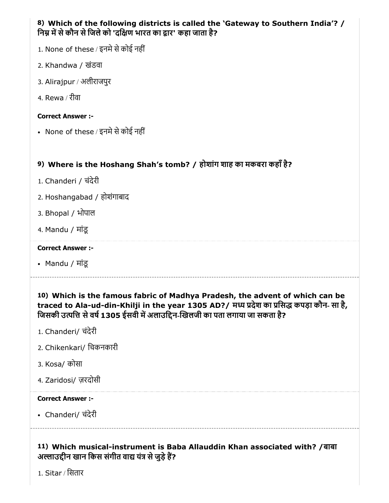# 8) Which of the following districts is called the 'Gateway to Southern India'? / निम्न में से कौन से जिले को 'दक्षिण भारत का द्वार' कहा जाता है?

- $1.$  None of these / इनमे से कोई नहीं
- 2. Khandwa / खंडवा
- 3. Alirajpur / अलीराजपुर
- 4. Rewa / रीवा

### Correct Answer :-

• None of these / इनमे से कोई नहीं

# 9) Where is the Hoshang Shah's tomb? / होशांग शाह का मकबरा कहाँहै?

- 1. Chanderi / चंदेरी
- 2. Hoshangabad / होशंगाबाद
- 3. Bhopal / भोपाल
- 4. Mandu / मांडू

### Correct Answer :-

Mandu / मांडू

10) Which is the famous fabric of Madhya Pradesh, the advent of which can be traced to Ala-ud-din-Khilji in the year 1305 AD?/ मध्य प्रदेश का प्रसिद्ध कपड़ा कौन- सा है, जिसकी उत्पत्ति से वर्ष 1305 ईसवी में अलाउद्दिन-खिलजी का पता लगाया जा सकता है?

- 1. Chanderi/ चंदेरी
- 2. Chikenkari/ िचकनकारी
- 3. Kosa/ कोसा
- 4. Zaridosi/ ज़रदोसी

## Correct Answer :-

Chanderi/ चंदेरी

11) Which musical-instrument is Baba Allauddin Khan associated with? /बाबा अल्लाउद्दीन खान किस संगीत वाद्य यंत्र से जुड़े हैं?

1. Sitar / िसतार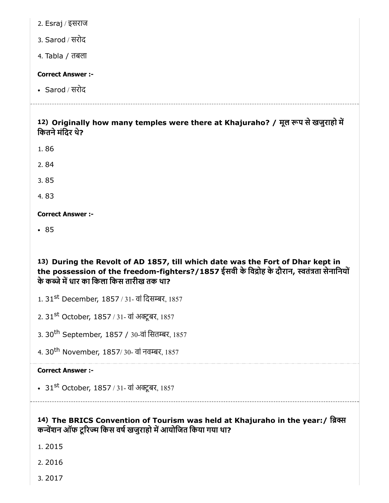2. Esraj / इसराज

3. Sarod / सरोद

4. Tabla / तबला

#### Correct Answer :-

Sarod / सरोद

12) Originally how many temples were there at Khajuraho? / मूल रूप से खजुराहो में कितने मंदिर थे?

- 1. 86
- 2. 84

3. 85

4. 83

Correct Answer :-

• 85

13) During the Revolt of AD 1857, till which date was the Fort of Dhar kept in the possession of the freedom-fighters?/1857 ईसवी के विद्रोह के दौरान, स्वतंत्रता सेनानियों के कब्जे में धार का किला किस तारीख तक था?

1. 31<sup>st</sup> December, 1857 / 31- वां दिसम्बर, 1857

2. 31<sup>st</sup> October, 1857 / 31- वां अक्टूबर, 1857

3. 30<sup>th</sup> September, 1857 / 30-वां सितम्बर, 1857

4. 30<sup>th</sup> November, 1857/30- वां नवम्बर, 1857

#### Correct Answer :-

31<sup>st</sup> October, 1857 / 31- वां अक्टूबर, 1857

14) The BRICS Convention of Tourism was held at Khajuraho in the year:/ ि कन्वेंशन ऑफ टूरिज्म किस वर्ष खजुराहो में आयोजित किया गया था?

1. 2015

2. 2016

3. 2017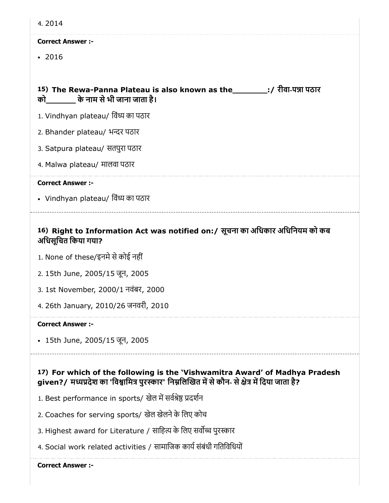| 4.2014                                                                                                              |
|---------------------------------------------------------------------------------------------------------------------|
| <b>Correct Answer :-</b>                                                                                            |
| $\cdot$ 2016                                                                                                        |
|                                                                                                                     |
| 15) The Rewa-Panna Plateau is also known as the ___________;/ रीवा-पन्ना पठार<br>को खोड़ के नाम से भी जाना जाता है। |
| 1. Vindhyan plateau/ विंध्य का पठार                                                                                 |
| 2. Bhander plateau/ भन्दर पठार                                                                                      |
| 3. Satpura plateau/ सतपुरा पठार                                                                                     |
| 4. Malwa plateau/ मालवा पठार                                                                                        |
| <b>Correct Answer :-</b>                                                                                            |
| • Vindhyan plateau/ विंध्य का पठार                                                                                  |
|                                                                                                                     |
| 16) Right to Information Act was notified on:/ सूचना का अधिकार अधिनियम को कब<br>अधिसूचित किया गया?                  |
| 1. None of these/इनमे से कोई नहीं                                                                                   |
| 2. 15th June, 2005/15 जून, 2005                                                                                     |
| 3. 1st November, 2000/1 नवंबर, 2000                                                                                 |
| 4. 26th January, 2010/26 जनवरी, 2010                                                                                |
| <b>Correct Answer :-</b>                                                                                            |
| • 15th June, 2005/15 जून, 2005                                                                                      |

## 17) For which of the following is the 'Vishwamitra Award' of Madhya Pradesh given?/ मध्यप्रदेश का 'विश्वामित्र पुरस्कार' निम्नलिखित में से कौन- से क्षेत्र में दिया जाता है?

- 1. Best performance in sports/ खेल में सर्वश्रेष्ठ प्रदर्शन
- 2. Coaches for serving sports/ खेल खेलनेके िलए कोच
- 3. Highest award for Literature / साहित्य के लिए सर्वोच्च पुरस्कार
- 4. Social work related activities / सामाजिक कार्य संबंधी गतिविधियों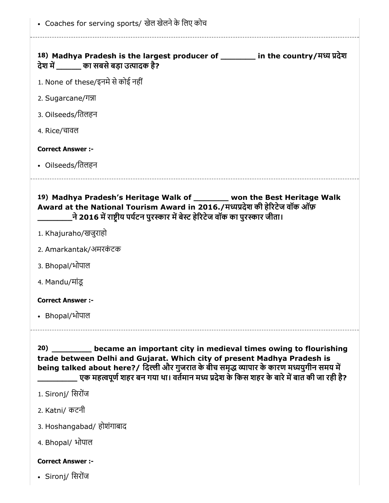| • Coaches for serving sports/ खेल खेलने के लिए कोच                                                                                                                                                                                                                                                                                            |
|-----------------------------------------------------------------------------------------------------------------------------------------------------------------------------------------------------------------------------------------------------------------------------------------------------------------------------------------------|
| 18) Madhya Pradesh is the largest producer of ________ in the country/मध्य प्रदेश<br>देश में व्या सबसे बड़ा उत्पादक है?                                                                                                                                                                                                                       |
| 1. None of these/इनमे से कोई नहीं                                                                                                                                                                                                                                                                                                             |
| 2. Sugarcane/गन्ना                                                                                                                                                                                                                                                                                                                            |
| 3. Oilseeds/तिलहन                                                                                                                                                                                                                                                                                                                             |
| 4. Rice/चावल                                                                                                                                                                                                                                                                                                                                  |
| <b>Correct Answer:-</b>                                                                                                                                                                                                                                                                                                                       |
| • Oilseeds/तिलहन                                                                                                                                                                                                                                                                                                                              |
| 19) Madhya Pradesh's Heritage Walk of _______ won the Best Heritage Walk<br>Award at the National Tourism Award in 2016./मध्यप्रदेश की हेरिटेज वॉक ऑफ़<br>्ने 2016 में राष्टीय पर्यटन पुरस्कार में बेस्ट हेरिटेज वॉक का पुरस्कार जीता।                                                                                                        |
| 1. Khajuraho/खजुराहो                                                                                                                                                                                                                                                                                                                          |
| 2. Amarkantak/अमरकंटक                                                                                                                                                                                                                                                                                                                         |
| 3. Bhopal/भोपाल                                                                                                                                                                                                                                                                                                                               |
| 4. Mandu/मांड                                                                                                                                                                                                                                                                                                                                 |
| <b>Correct Answer :-</b>                                                                                                                                                                                                                                                                                                                      |
| • Bhopal/भोपाल                                                                                                                                                                                                                                                                                                                                |
| became an important city in medieval times owing to flourishing<br>20)<br>trade between Delhi and Gujarat. Which city of present Madhya Pradesh is<br>being talked about here?/ दिल्ली और गुजरात के बीच समृद्ध व्यापार के कारण मध्ययुगीन समय में<br>एक महत्वपूर्ण शहर बन गया था। वर्तमान मध्य प्रदेश के किस शहर के बारे में बात की जा रही है? |
| 1. Sironj/ सिरोंज                                                                                                                                                                                                                                                                                                                             |
| 2. Katni/ कटनी                                                                                                                                                                                                                                                                                                                                |
| 3. Hoshangabad/ होशंगाबाद                                                                                                                                                                                                                                                                                                                     |
| 4. Bhopal/ भोपाल                                                                                                                                                                                                                                                                                                                              |

Sironj/ िसरोजं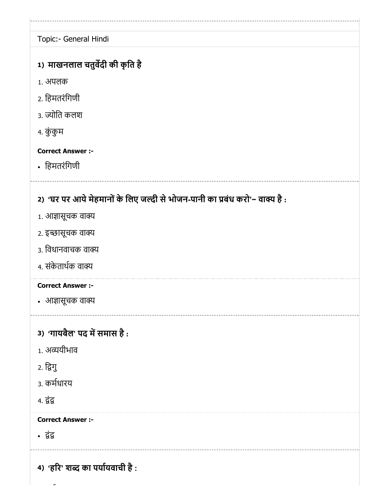1) माखनलाल चतुर्वदी की कृति है 2) 'घर पर आर्य मेहमानों के लिए जल्दी से भोजन-पानी का प्रबंध करो'− वाक्य है : 3) 'गायबैल' पद में समास है : 4) 'होरे' शब्द का पर्यायवाची है : Topic:- General Hindi 1. अपलक 2. िहमतरंिगणी 3. ज्योति कलश 4. कुं कुम Correct Answer :- िहमतरंिगणी 1. आज्ञासूचक वाक्य 2. इच्छासूचक वाक्य 3. विधानवाचक वाक्य 4. संकेताथक वा Correct Answer :- • आज्ञासूचक वाक्य 1. अयीभाव 2. िगु 3. कमधारय 4. <u>दंद्र</u> Correct Answer :- • द्वंद्व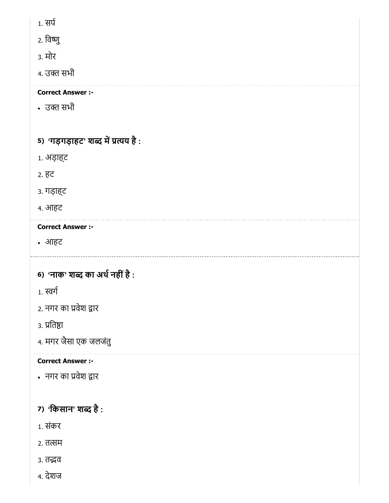- 1. सप
- 2. िवु
- 3. मोर
- 4. उक्त सभी

• उक्त सभी

# 5) 'गड़गड़ाहट' शब्द में प्रत्यय है :

- 1. अड़ाह्ट
- 2. हट
- 3. गड़ाह्ट
- 4. आहट

# Correct Answer :-

आहट

# 6) 'नाक' शब्द का अर्थ नहीं है :

- 1. स्वर्ग
- 2. नगर का प्रवेश द्वार
- ३. प्रतिष्ठा
- 4. मगर जैसा एक जलजंतु

# Correct Answer :-

नगर का वेश ार

# 7) 'किसान' शब्द है :

- 1. संकर
- 2. तत्सम
- 3. तद्भव
- 4. देशज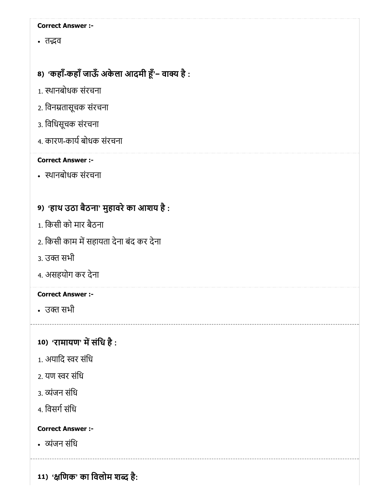• तद्भव

# 8) 'कहाँ-कहाँ जाऊँ अर्कला आदमी हूँ'− वाक्य है :

- 1. थानबोधक संरचना
- 2. िवनतासूचक संरचना
- 3. िविधसूचक संरचना
- 4. कारण-कार्य बोधक संरचना

### Correct Answer :-

थानबोधक संरचना

# 9) 'हाथ उठा बैठना' मुहावरेका आशय है :

- 1. िकसी को मार बैठना
- 2. किसी काम में सहायता देना बंद कर देना
- 3. उक्त सभी
- 4. असहयोग कर देना

# Correct Answer :-

• उक्त सभी

# 10) 'रामायण' में संधि है :

- 1. अयादि स्वर संधि
- 2. यण स्वर संधि
- 3. व्यंजन संधि
- 4. विसर्ग संधि

## Correct Answer :-

ंजन संिध

11) 'क्षणिक' का विलोम शब्द है: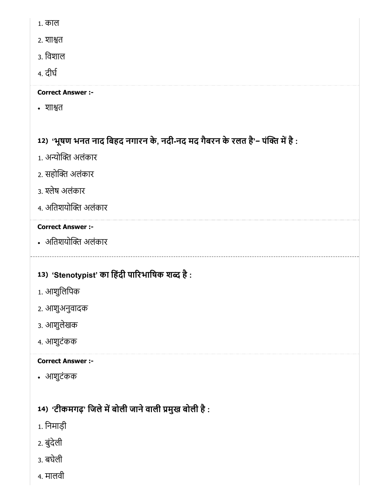- 1. काल
- 2. शात
- 3. िवशाल
- 4. दीघ

• शाश्वत

# 12) 'भूषण भनत नाद बिहद नगारन के, नदी-नद मद गैबरन के रलत है'− पक्ति में है :

- 1. अन्योक्ति अलंकार
- 2. सहोक्ति अलंकार
- 3. श्लेष अलंकार
- 4. अतिशयोक्ति अलंकार

# Correct Answer :-

• अतिशयोक्ति अलंकार

# 13) 'Stenotypist' का हिंदी पारिभाषिक शब्द है :

- 1. आशुिलिपक
- 2. आशुअनुवादक
- 3. आशुलेखक
- 4. आशुटंकक

# Correct Answer :-

आशुटंकक

# 14) 'टीकमगढ़' जिले में बोली जाने वाली प्रमुख बोली है :

- 1. िनमाड़ी
- 2. बुंदेली
- 3. बघेली
- 4. मालवी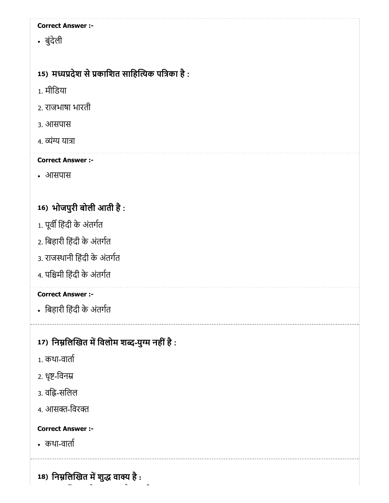बुंदेली

# 15) मध्यप्रदेश से प्रकाशित साहित्यिक पत्रिका है :

- 1. मीिडया
- 2. राजभाषा भारती
- 3. आसपास
- 4. व्यंग्य यात्रा

# Correct Answer :-

आसपास

# 16) भोजपुरी बोली आती है :

- 1. पूर्वी हिंदी के अंतर्गत
- 2. िबहारी िहंदी के अंतगत
- 3. राजथानी िहंदी के अंतगत
- 4. पिमी िहंदी के अंतगत

# Correct Answer :-

िबहारी िहंदी के अंतगत

# 17) निम्नलिखित में विलोम शब्द-युग्म नहीं है :

- 1. कथा-वाता
- 2. धृष्ट-विनम्र
- 3. वहि-सलिल
- 4. आसक्त-विरक्त

# Correct Answer :-

कथा-वाता

18) निम्नलिखित में शुद्ध वाक्य है :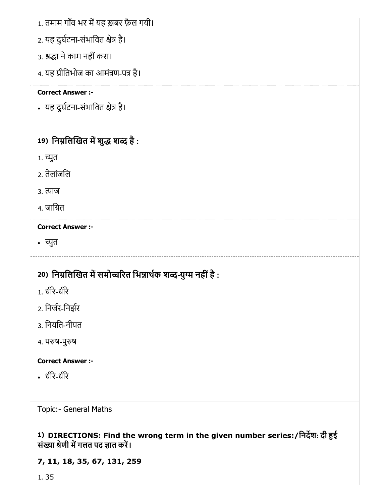- 1. तमाम गाँव भर में यह ख़बर फ़ैल गयी।
- 2. यह दुर्घटना-संभावित क्षेत्र है।
- 3. श्रद्धा ने काम नहीं करा।
- 4. यह प्रीतिभोज का आमंत्रण-पत्र है।

• यह दुर्घटना-संभावित क्षेत्र है।

# 19) निम्नलिखित में शुद्ध शब्द है :

- 1. च्युत
- 2. तेलांजिल
- 3. त्याज
- 4. जाित

#### Correct Answer :-

• च्युत

# 20) निम्नलिखित में समोच्चरित भिन्नार्थक शब्द-युग्म नहीं है :

- 1. धीरे-धीरे
- 2. िनजर-िनझर
- 3. िनयित-नीयत
- 4. परुष-पुरुष

# Correct Answer :-

धीरे-धीरे

Topic:- General Maths

## 1) DIRECTIONS: Find the wrong term in the given number series:/िनदश: दी ई संख्या श्रेणी में गलत पद ज्ञात करें।

# 7, 11, 18, 35, 67, 131, 259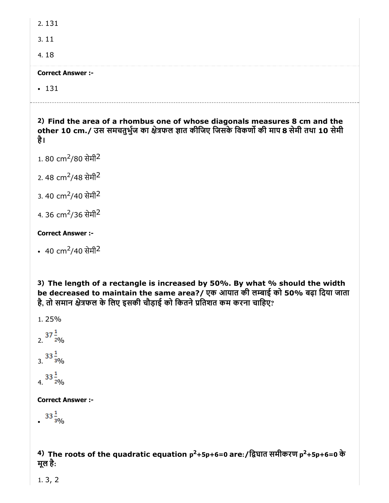2. 131

3. 11

4. 18

#### Correct Answer :-

 $• 131$ 

2) Find the area of a rhombus one of whose diagonals measures 8 cm and the other 10 cm./ उस समचतुर्भुज का क्षेत्रफल ज्ञात कीजिए जिसके विकर्णो की माप 8 सेमी तथा 10 सेमी है।

1. 80 cm<sup>2</sup>/80 सेमी<sup>2</sup>

2. 48 cm<sup>2</sup>/48 सेमी<sup>2</sup>

3. 40 cm<sup>2</sup>/40 सेमी<sup>2</sup>

4. 36 cm<sup>2</sup>/36 सेमी<sup>2</sup>

#### Correct Answer :-

40 cm<sup>2</sup>/40 सेमी<sup>2</sup>

3) The length of a rectangle is increased by 50%. By what % should the width be decreased to maintain the same area?/ एक आयात की लम्बाई को 50% बढ़ा दिया जाता है, तो समान क्षेत्रफल के लिए इसकी चौड़ाई को कितने प्रतिशत कम करना चाहिए?

1. 25%

 $2. \frac{37 \frac{1}{2}^{}}{2}$  $3.\overline{33\frac{1}{30}}$ 

 $4. \frac{33\frac{1}{20}}{6}$ 

Correct Answer :-

 $33\frac{1}{30}$ 

<sup>4)</sup> The roots of the quadratic equation  $p^2+5p+6=0$  are:/द्विघात समीकरण  $p^2+5p+6=0$  के मूल है:

1. 3, 2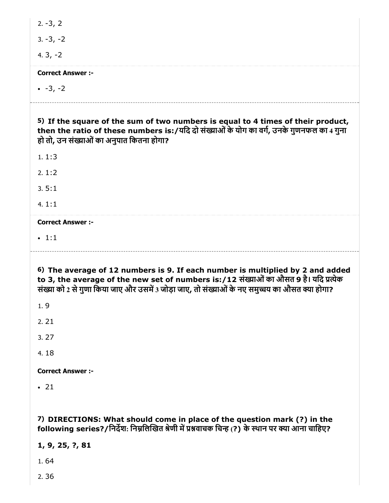| $2. -3, 2$               |                                                                                                                                                                                                                                                                           |
|--------------------------|---------------------------------------------------------------------------------------------------------------------------------------------------------------------------------------------------------------------------------------------------------------------------|
| $3. -3, -2$              |                                                                                                                                                                                                                                                                           |
| 4. $3, -2$               |                                                                                                                                                                                                                                                                           |
| <b>Correct Answer:-</b>  |                                                                                                                                                                                                                                                                           |
| $-3, -2$                 |                                                                                                                                                                                                                                                                           |
|                          | 5) If the square of the sum of two numbers is equal to 4 times of their product,<br>then the ratio of these numbers is:/यदि दो संख्याओं के योग का वर्ग, उनके गुणनफल का 4 गुना<br>हो तो, उन संख्याओं का अनुपात कितना होगा?                                                 |
| 1.1:3                    |                                                                                                                                                                                                                                                                           |
| 2.1:2                    |                                                                                                                                                                                                                                                                           |
| 3.5:1                    |                                                                                                                                                                                                                                                                           |
| 4.1:1                    |                                                                                                                                                                                                                                                                           |
| <b>Correct Answer :-</b> |                                                                                                                                                                                                                                                                           |
| $\cdot$ 1:1              |                                                                                                                                                                                                                                                                           |
|                          |                                                                                                                                                                                                                                                                           |
|                          | 6) The average of 12 numbers is 9. If each number is multiplied by 2 and added<br>to 3, the average of the new set of numbers is:/12 संख्याओं का औसत 9 है। यदि प्रत्येक<br>संख्या को 2 से गुणा किया जाए और उसमें 3 जोड़ा जाए, तो संख्याओं के नए समुच्चय का औसत क्या होगा? |
| 1.9                      |                                                                                                                                                                                                                                                                           |
| 2.21                     |                                                                                                                                                                                                                                                                           |
| 3.27                     |                                                                                                                                                                                                                                                                           |
| 4.18                     |                                                                                                                                                                                                                                                                           |
| <b>Correct Answer :-</b> |                                                                                                                                                                                                                                                                           |
| $\cdot$ 21               |                                                                                                                                                                                                                                                                           |
|                          | 7) DIRECTIONS: What should come in place of the question mark (?) in the<br>following series?/निर्देश: निम्नलिखित श्रेणी में प्रश्नवाचक चिन्ह (?) के स्थान पर क्या आना चाहिए?                                                                                             |
| 1, 9, 25, ?, 81          |                                                                                                                                                                                                                                                                           |
| 1.64                     |                                                                                                                                                                                                                                                                           |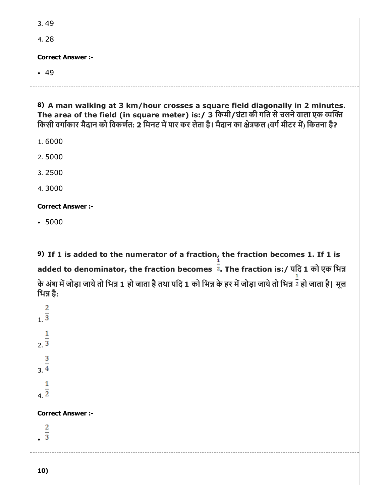4. 28

Correct Answer :-

 $-49$ 

8) A man walking at 3 km/hour crosses a square field diagonally in 2 minutes. The area of the field (in square meter) is:/ 3 िकमी/घंटा की गित सेचलनेवाला एक य किसी वर्गाकार मैदान को विकर्णत: 2 मिनट में पार कर लेता है। मैदान का क्षेत्रफल (वर्ग मीटर में) कितना है?

- 1. 6000
- 2. 5000
- 3. 2500
- 4. 3000

# Correct Answer :-

5000

9) If 1 is added to the numerator of a fraction, the fraction becomes 1. If 1 is added to denominator, the fraction becomes  $\frac{1}{2}$ . The fraction is:/ यदि 1 को एक भिन्न के अंश में जोड़ा जाये तो भिन्न 1 हो जाता है तथा यदि 1 को भिन्न के हर में जोड़ा जाये तो भिन्न <sup>न्रै</sup> हो जाता है। मूल भिन्न है:

2  $1.\overline{3}$ 1  $2.\overline{3}$ 3  $3.\overline{4}$ 1  $4.\overline{2}$ Correct Answer :-2  $\overline{3}$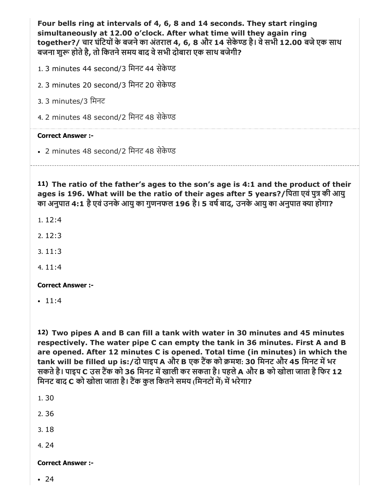Four bells ring at intervals of 4, 6, 8 and 14 seconds. They start ringing simultaneously at 12.00 o'clock. After what time will they again ring together?/ चार घंटियों के बजने का अंतराल 4, 6, 8 और 14 सेकेण्ड है। वे सभी 12.00 बजे एक साथ बजना शुरू होते है, तो कितने समय बाद वे सभी दोबारा एक साथ बजेगी?

1. 3 minutes 44 second/3 िमनट 44 सेके

2. 3 minutes 20 second/3 िमनट 20 सेके

3. 3 minutes/3 िमनट

4. 2 minutes 48 second/2 िमनट 48 सेके

#### Correct Answer :-

2 minutes 48 second/2 िमनट 48 सेके

11) The ratio of the father's ages to the son's age is 4:1 and the product of their ages is 196. What will be the ratio of their ages after 5 years?/पिता एवं पुत्र की आयु का अनुपात 4:1 है एवं उनके आयु का गुणनफल 196 है। 5 वर्ष बाद, उनके आयु का अनुपात क्या होगा?

- 1. 12:4
- $2.12:3$
- 3. 11:3
- 4. 11:4

Correct Answer :-

 $-11:4$ 

12) Two pipes A and B can fill a tank with water in 30 minutes and 45 minutes respectively. The water pipe C can empty the tank in 36 minutes. First A and B are opened. After 12 minutes C is opened. Total time (in minutes) in which the tank will be filled up is:/दो पाइप A और B एक टैंक को क्रमश: 30 मिनट और 45 मिनट में भर सकते है। पाइप C उस टैंक को 36 मिनट में खाली कर सकता है। पहले A और B को खोला जाता है फिर 12 मिनट बाद C को खोला जाता है। टैंक कुल कितने समय (मिनटों में) में भरेगा?

1. 30

2. 36

3. 18

4. 24

#### Correct Answer :-

 $-24$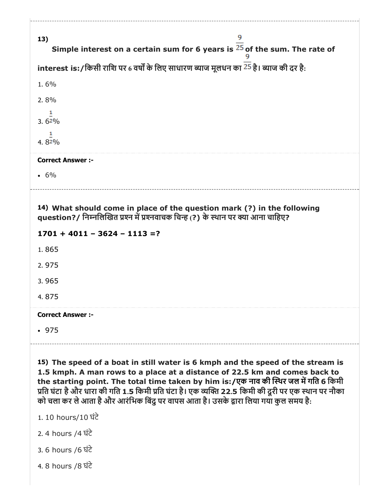| 13)                      | 9<br>Simple interest on a certain sum for 6 years is $25$ of the sum. The rate of                                                                                                                                                                                                                                                                                                                                                                       |
|--------------------------|---------------------------------------------------------------------------------------------------------------------------------------------------------------------------------------------------------------------------------------------------------------------------------------------------------------------------------------------------------------------------------------------------------------------------------------------------------|
|                          | interest is: / किसी राशि पर 6 वर्षों के लिए साधारण ब्याज मूलधन का <sup>25</sup> है। ब्याज की दर है:                                                                                                                                                                                                                                                                                                                                                     |
|                          |                                                                                                                                                                                                                                                                                                                                                                                                                                                         |
| 1.6%                     |                                                                                                                                                                                                                                                                                                                                                                                                                                                         |
| 2.8%<br>1                |                                                                                                                                                                                                                                                                                                                                                                                                                                                         |
| $3.62\%$                 |                                                                                                                                                                                                                                                                                                                                                                                                                                                         |
| 1<br>4.82%               |                                                                                                                                                                                                                                                                                                                                                                                                                                                         |
| <b>Correct Answer:-</b>  |                                                                                                                                                                                                                                                                                                                                                                                                                                                         |
| $.6\%$                   |                                                                                                                                                                                                                                                                                                                                                                                                                                                         |
|                          | 14) What should come in place of the question mark (?) in the following<br>question?/ निम्नलिखित प्रश्न में प्रश्नवाचक चिन्ह (?) के स्थान पर क्या आना चाहिए?                                                                                                                                                                                                                                                                                            |
|                          | $1701 + 4011 - 3624 - 1113 = ?$                                                                                                                                                                                                                                                                                                                                                                                                                         |
| 1.865                    |                                                                                                                                                                                                                                                                                                                                                                                                                                                         |
| 2.975                    |                                                                                                                                                                                                                                                                                                                                                                                                                                                         |
| 3.965                    |                                                                                                                                                                                                                                                                                                                                                                                                                                                         |
| 4.875                    |                                                                                                                                                                                                                                                                                                                                                                                                                                                         |
| <b>Correct Answer :-</b> |                                                                                                                                                                                                                                                                                                                                                                                                                                                         |
| .975                     |                                                                                                                                                                                                                                                                                                                                                                                                                                                         |
|                          | 15) The speed of a boat in still water is 6 kmph and the speed of the stream is<br>1.5 kmph. A man rows to a place at a distance of 22.5 km and comes back to<br>the starting point. The total time taken by him is:/एक नाव की स्थिर जल में गति 6 किमी<br>प्रति घंटा है और धारा की गति 1.5 किमी प्रति घंटा है। एक व्यक्ति 22.5 किमी की दूरी पर एक स्थान पर नौका<br>को चला कर ले आता है और आरंभिक बिंदु पर वापस आता है। उसके द्वारा लिया गया कुल समय है: |
| 1. 10 hours/10 घंटे      |                                                                                                                                                                                                                                                                                                                                                                                                                                                         |
| 2.4 hours /4 ਬੋਟੇ        |                                                                                                                                                                                                                                                                                                                                                                                                                                                         |
|                          |                                                                                                                                                                                                                                                                                                                                                                                                                                                         |
| 3. 6 hours /6 ਬੋਟੇ       |                                                                                                                                                                                                                                                                                                                                                                                                                                                         |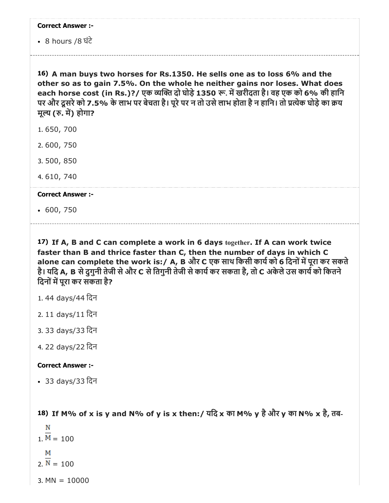|  | <b>Correct Answer :-</b> |  |
|--|--------------------------|--|
|--|--------------------------|--|

8 hours /8 घंटे

16) A man buys two horses for Rs.1350. He sells one as to loss 6% and the other so as to gain 7.5%. On the whole he neither gains nor loses. What does each horse cost (in Rs.)?/ एक व्यक्ति दो घोड़े 1350 रू. में खरीदता है। वह एक को 6% की हानि पर और दूसरे को 7.5% के लाभ पर बेचता है। पूरे पर न तो उसे लाभ होता है न हानि। तो प्रत्येक घोड़े का क्रय मूल्य (रु. में) होगा?

- 1. 650, 700
- 2. 600, 750
- 3. 500, 850
- 4. 610, 740

#### Correct Answer :-

600, 750

17) If A, B and C can complete a work in 6 days together. If A can work twice faster than B and thrice faster than C, then the number of days in which C alone can complete the work is:/ A, B और C एक साथ किसी कार्य को 6 दिनों में पूरा कर सकते है। यदि A, B से दुगुनी तेजी से और C से तिगुनी तेजी से कार्य कर सकता है, तो C अकेले उस कार्य को कितने दिनों में पुरा कर सकता है?

- 1. 44 days/44 िदन
- 2. 11 days/11 िदन
- 3. 33 days/33 िदन
- 4. 22 days/22 िदन

#### Correct Answer :-

33 days/33 िदन

18) If M% of x is y and N% of y is x then:/ यिद x का M% y हैऔर y का N% x है, तब-

N  $1. M = 100$ м  $2. N = 100$  $3.$  MN =  $10000$